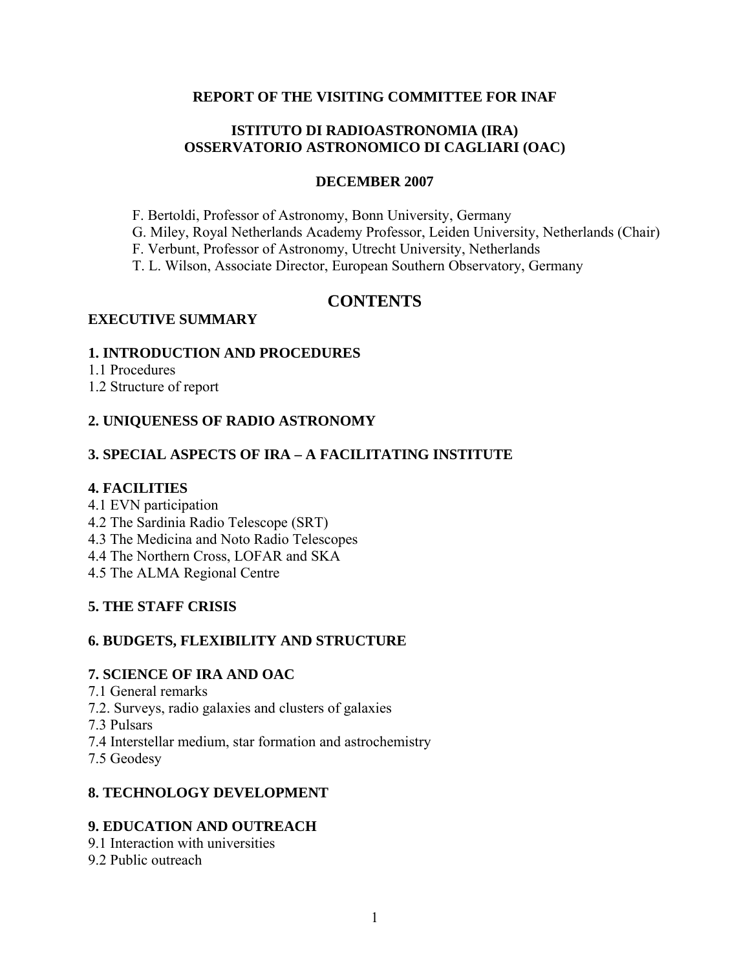#### **REPORT OF THE VISITING COMMITTEE FOR INAF**

### **ISTITUTO DI RADIOASTRONOMIA (IRA) OSSERVATORIO ASTRONOMICO DI CAGLIARI (OAC)**

#### **DECEMBER 2007**

- F. Bertoldi, Professor of Astronomy, Bonn University, Germany
- G. Miley, Royal Netherlands Academy Professor, Leiden University, Netherlands (Chair)
- F. Verbunt, Professor of Astronomy, Utrecht University, Netherlands
- T. L. Wilson, Associate Director, European Southern Observatory, Germany

# **CONTENTS**

#### **EXECUTIVE SUMMARY**

#### **1. INTRODUCTION AND PROCEDURES**

- 1.1 Procedures
- 1.2 Structure of report

### **2. UNIQUENESS OF RADIO ASTRONOMY**

### **3. SPECIAL ASPECTS OF IRA – A FACILITATING INSTITUTE**

#### **4. FACILITIES**

- 4.1 EVN participation
- 4.2 The Sardinia Radio Telescope (SRT)
- 4.3 The Medicina and Noto Radio Telescopes
- 4.4 The Northern Cross, LOFAR and SKA
- 4.5 The ALMA Regional Centre

### **5. THE STAFF CRISIS**

### **6. BUDGETS, FLEXIBILITY AND STRUCTURE**

#### **7. SCIENCE OF IRA AND OAC**

- 7.1 General remarks
- 7.2. Surveys, radio galaxies and clusters of galaxies
- 7.3 Pulsars
- 7.4 Interstellar medium, star formation and astrochemistry
- 7.5 Geodesy

### **8. TECHNOLOGY DEVELOPMENT**

### **9. EDUCATION AND OUTREACH**

- 9.1 Interaction with universities
- 9.2 Public outreach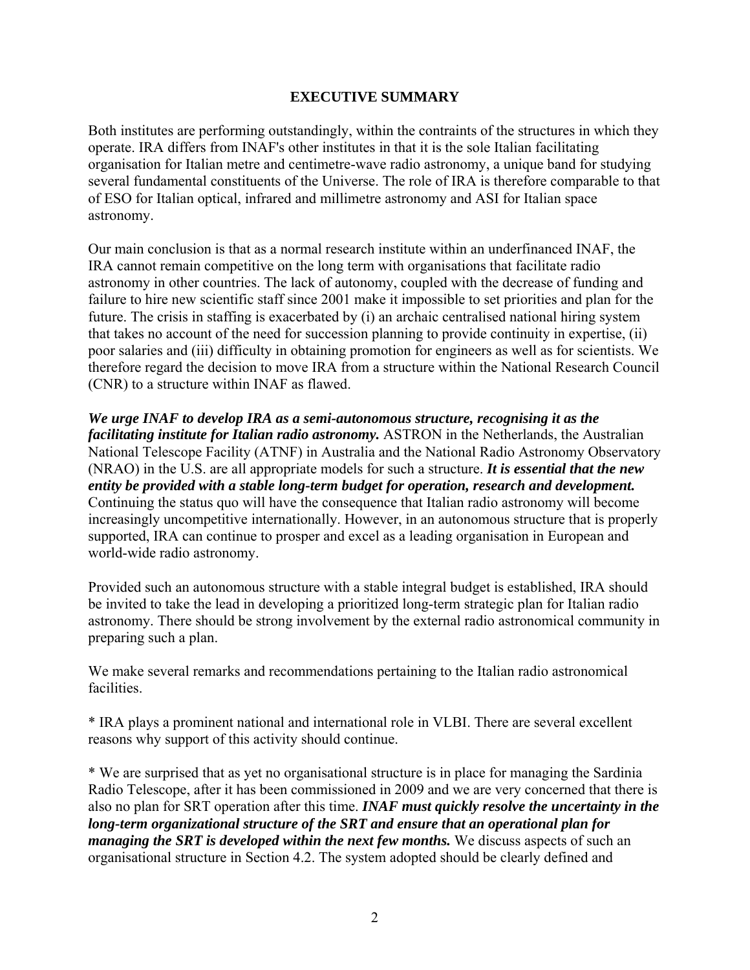### **EXECUTIVE SUMMARY**

Both institutes are performing outstandingly, within the contraints of the structures in which they operate. IRA differs from INAF's other institutes in that it is the sole Italian facilitating organisation for Italian metre and centimetre-wave radio astronomy, a unique band for studying several fundamental constituents of the Universe. The role of IRA is therefore comparable to that of ESO for Italian optical, infrared and millimetre astronomy and ASI for Italian space astronomy.

Our main conclusion is that as a normal research institute within an underfinanced INAF, the IRA cannot remain competitive on the long term with organisations that facilitate radio astronomy in other countries. The lack of autonomy, coupled with the decrease of funding and failure to hire new scientific staff since 2001 make it impossible to set priorities and plan for the future. The crisis in staffing is exacerbated by (i) an archaic centralised national hiring system that takes no account of the need for succession planning to provide continuity in expertise, (ii) poor salaries and (iii) difficulty in obtaining promotion for engineers as well as for scientists. We therefore regard the decision to move IRA from a structure within the National Research Council (CNR) to a structure within INAF as flawed.

*We urge INAF to develop IRA as a semi-autonomous structure, recognising it as the facilitating institute for Italian radio astronomy.* ASTRON in the Netherlands, the Australian National Telescope Facility (ATNF) in Australia and the National Radio Astronomy Observatory (NRAO) in the U.S. are all appropriate models for such a structure. *It is essential that the new entity be provided with a stable long-term budget for operation, research and development.* Continuing the status quo will have the consequence that Italian radio astronomy will become increasingly uncompetitive internationally. However, in an autonomous structure that is properly supported, IRA can continue to prosper and excel as a leading organisation in European and world-wide radio astronomy.

Provided such an autonomous structure with a stable integral budget is established, IRA should be invited to take the lead in developing a prioritized long-term strategic plan for Italian radio astronomy. There should be strong involvement by the external radio astronomical community in preparing such a plan.

We make several remarks and recommendations pertaining to the Italian radio astronomical facilities.

\* IRA plays a prominent national and international role in VLBI. There are several excellent reasons why support of this activity should continue.

\* We are surprised that as yet no organisational structure is in place for managing the Sardinia Radio Telescope, after it has been commissioned in 2009 and we are very concerned that there is also no plan for SRT operation after this time. *INAF must quickly resolve the uncertainty in the long-term organizational structure of the SRT and ensure that an operational plan for managing the SRT is developed within the next few months.* We discuss aspects of such an organisational structure in Section 4.2. The system adopted should be clearly defined and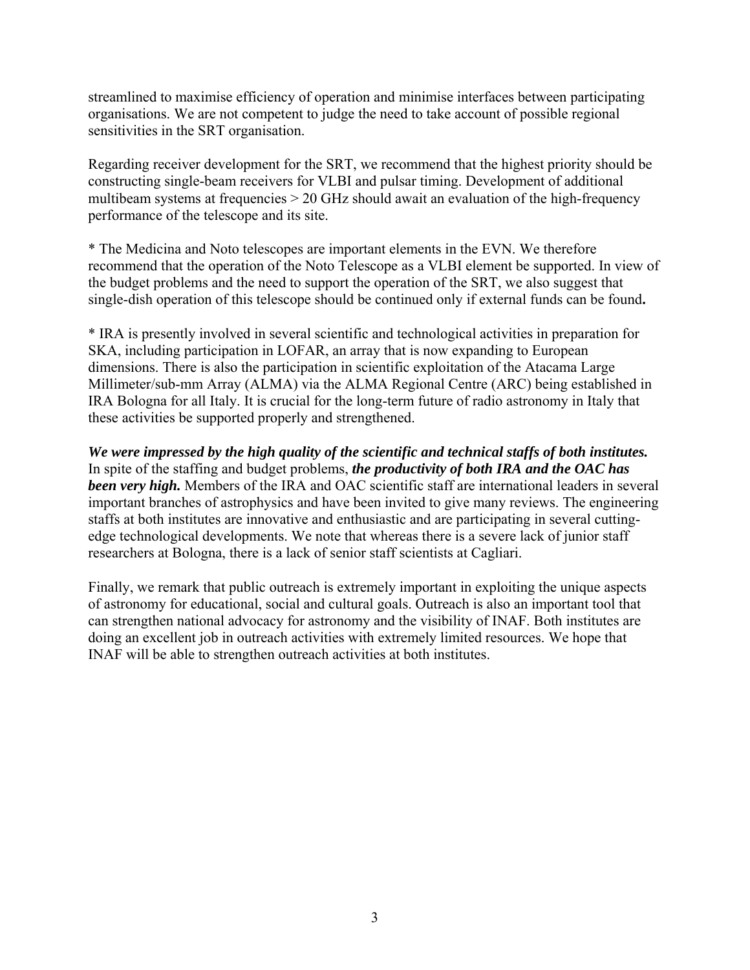streamlined to maximise efficiency of operation and minimise interfaces between participating organisations. We are not competent to judge the need to take account of possible regional sensitivities in the SRT organisation.

Regarding receiver development for the SRT, we recommend that the highest priority should be constructing single-beam receivers for VLBI and pulsar timing. Development of additional multibeam systems at frequencies > 20 GHz should await an evaluation of the high-frequency performance of the telescope and its site.

\* The Medicina and Noto telescopes are important elements in the EVN. We therefore recommend that the operation of the Noto Telescope as a VLBI element be supported. In view of the budget problems and the need to support the operation of the SRT, we also suggest that single-dish operation of this telescope should be continued only if external funds can be found**.** 

\* IRA is presently involved in several scientific and technological activities in preparation for SKA, including participation in LOFAR, an array that is now expanding to European dimensions. There is also the participation in scientific exploitation of the Atacama Large Millimeter/sub-mm Array (ALMA) via the ALMA Regional Centre (ARC) being established in IRA Bologna for all Italy. It is crucial for the long-term future of radio astronomy in Italy that these activities be supported properly and strengthened.

*We were impressed by the high quality of the scientific and technical staffs of both institutes.*  In spite of the staffing and budget problems, *the productivity of both IRA and the OAC has been very high.* Members of the IRA and OAC scientific staff are international leaders in several important branches of astrophysics and have been invited to give many reviews. The engineering staffs at both institutes are innovative and enthusiastic and are participating in several cuttingedge technological developments. We note that whereas there is a severe lack of junior staff researchers at Bologna, there is a lack of senior staff scientists at Cagliari.

Finally, we remark that public outreach is extremely important in exploiting the unique aspects of astronomy for educational, social and cultural goals. Outreach is also an important tool that can strengthen national advocacy for astronomy and the visibility of INAF. Both institutes are doing an excellent job in outreach activities with extremely limited resources. We hope that INAF will be able to strengthen outreach activities at both institutes.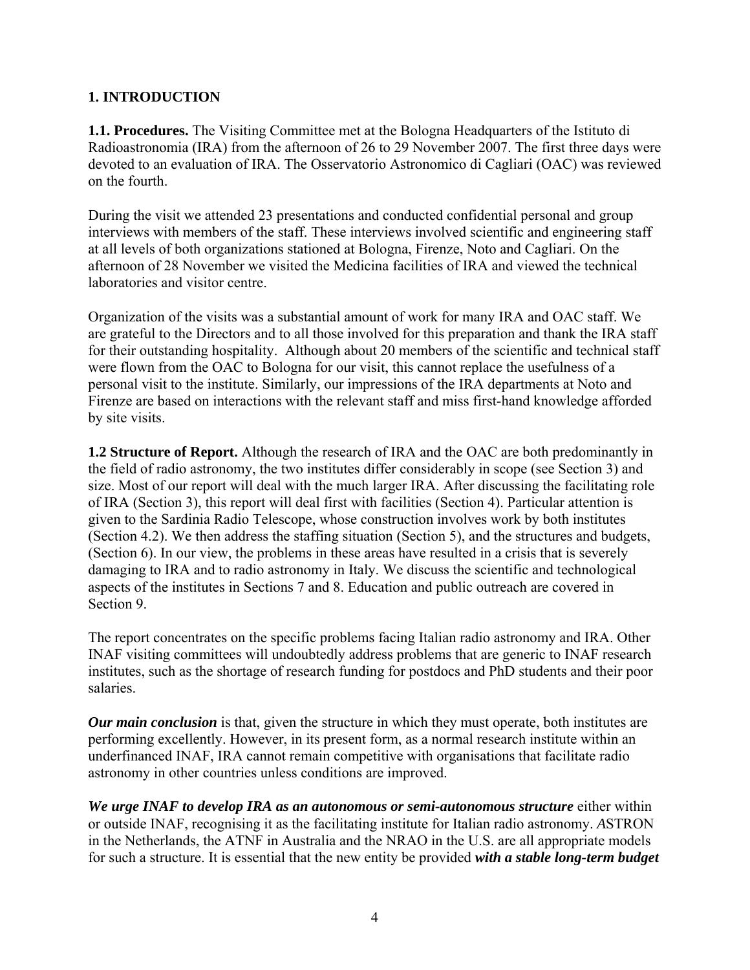## **1. INTRODUCTION**

**1.1. Procedures.** The Visiting Committee met at the Bologna Headquarters of the Istituto di Radioastronomia (IRA) from the afternoon of 26 to 29 November 2007. The first three days were devoted to an evaluation of IRA. The Osservatorio Astronomico di Cagliari (OAC) was reviewed on the fourth.

During the visit we attended 23 presentations and conducted confidential personal and group interviews with members of the staff. These interviews involved scientific and engineering staff at all levels of both organizations stationed at Bologna, Firenze, Noto and Cagliari. On the afternoon of 28 November we visited the Medicina facilities of IRA and viewed the technical laboratories and visitor centre.

Organization of the visits was a substantial amount of work for many IRA and OAC staff. We are grateful to the Directors and to all those involved for this preparation and thank the IRA staff for their outstanding hospitality. Although about 20 members of the scientific and technical staff were flown from the OAC to Bologna for our visit, this cannot replace the usefulness of a personal visit to the institute. Similarly, our impressions of the IRA departments at Noto and Firenze are based on interactions with the relevant staff and miss first-hand knowledge afforded by site visits.

**1.2 Structure of Report.** Although the research of IRA and the OAC are both predominantly in the field of radio astronomy, the two institutes differ considerably in scope (see Section 3) and size. Most of our report will deal with the much larger IRA. After discussing the facilitating role of IRA (Section 3), this report will deal first with facilities (Section 4). Particular attention is given to the Sardinia Radio Telescope, whose construction involves work by both institutes (Section 4.2). We then address the staffing situation (Section 5), and the structures and budgets, (Section 6). In our view, the problems in these areas have resulted in a crisis that is severely damaging to IRA and to radio astronomy in Italy. We discuss the scientific and technological aspects of the institutes in Sections 7 and 8. Education and public outreach are covered in Section 9.

The report concentrates on the specific problems facing Italian radio astronomy and IRA. Other INAF visiting committees will undoubtedly address problems that are generic to INAF research institutes, such as the shortage of research funding for postdocs and PhD students and their poor salaries.

*Our main conclusion* is that, given the structure in which they must operate, both institutes are performing excellently. However, in its present form, as a normal research institute within an underfinanced INAF, IRA cannot remain competitive with organisations that facilitate radio astronomy in other countries unless conditions are improved.

*We urge INAF to develop IRA as an autonomous or semi-autonomous structure* either within or outside INAF, recognising it as the facilitating institute for Italian radio astronomy. *A*STRON in the Netherlands, the ATNF in Australia and the NRAO in the U.S. are all appropriate models for such a structure. It is essential that the new entity be provided *with a stable long-term budget*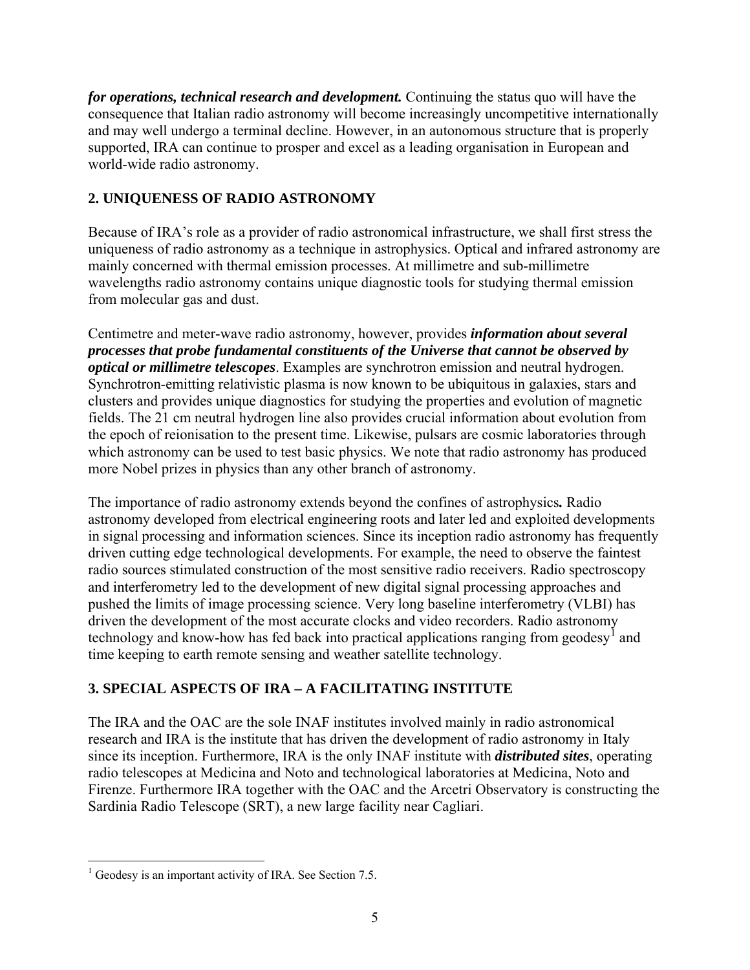*for operations, technical research and development.* Continuing the status quo will have the consequence that Italian radio astronomy will become increasingly uncompetitive internationally and may well undergo a terminal decline. However, in an autonomous structure that is properly supported, IRA can continue to prosper and excel as a leading organisation in European and world-wide radio astronomy.

# **2. UNIQUENESS OF RADIO ASTRONOMY**

Because of IRA's role as a provider of radio astronomical infrastructure, we shall first stress the uniqueness of radio astronomy as a technique in astrophysics. Optical and infrared astronomy are mainly concerned with thermal emission processes. At millimetre and sub-millimetre wavelengths radio astronomy contains unique diagnostic tools for studying thermal emission from molecular gas and dust.

Centimetre and meter-wave radio astronomy, however, provides *information about several processes that probe fundamental constituents of the Universe that cannot be observed by optical or millimetre telescopes*. Examples are synchrotron emission and neutral hydrogen. Synchrotron-emitting relativistic plasma is now known to be ubiquitous in galaxies, stars and clusters and provides unique diagnostics for studying the properties and evolution of magnetic fields. The 21 cm neutral hydrogen line also provides crucial information about evolution from the epoch of reionisation to the present time. Likewise, pulsars are cosmic laboratories through which astronomy can be used to test basic physics. We note that radio astronomy has produced more Nobel prizes in physics than any other branch of astronomy.

The importance of radio astronomy extends beyond the confines of astrophysics*.* Radio astronomy developed from electrical engineering roots and later led and exploited developments in signal processing and information sciences. Since its inception radio astronomy has frequently driven cutting edge technological developments. For example, the need to observe the faintest radio sources stimulated construction of the most sensitive radio receivers. Radio spectroscopy and interferometry led to the development of new digital signal processing approaches and pushed the limits of image processing science. Very long baseline interferometry (VLBI) has driven the development of the most accurate clocks and video recorders. Radio astronomy technology and know-how has fed back into practical applications ranging from geodesy<sup>[1](#page-4-0)</sup> and time keeping to earth remote sensing and weather satellite technology.

# **3. SPECIAL ASPECTS OF IRA – A FACILITATING INSTITUTE**

The IRA and the OAC are the sole INAF institutes involved mainly in radio astronomical research and IRA is the institute that has driven the development of radio astronomy in Italy since its inception. Furthermore, IRA is the only INAF institute with *distributed sites*, operating radio telescopes at Medicina and Noto and technological laboratories at Medicina, Noto and Firenze. Furthermore IRA together with the OAC and the Arcetri Observatory is constructing the Sardinia Radio Telescope (SRT), a new large facility near Cagliari.

<span id="page-4-0"></span><sup>1</sup> <sup>1</sup> Geodesy is an important activity of IRA. See Section 7.5.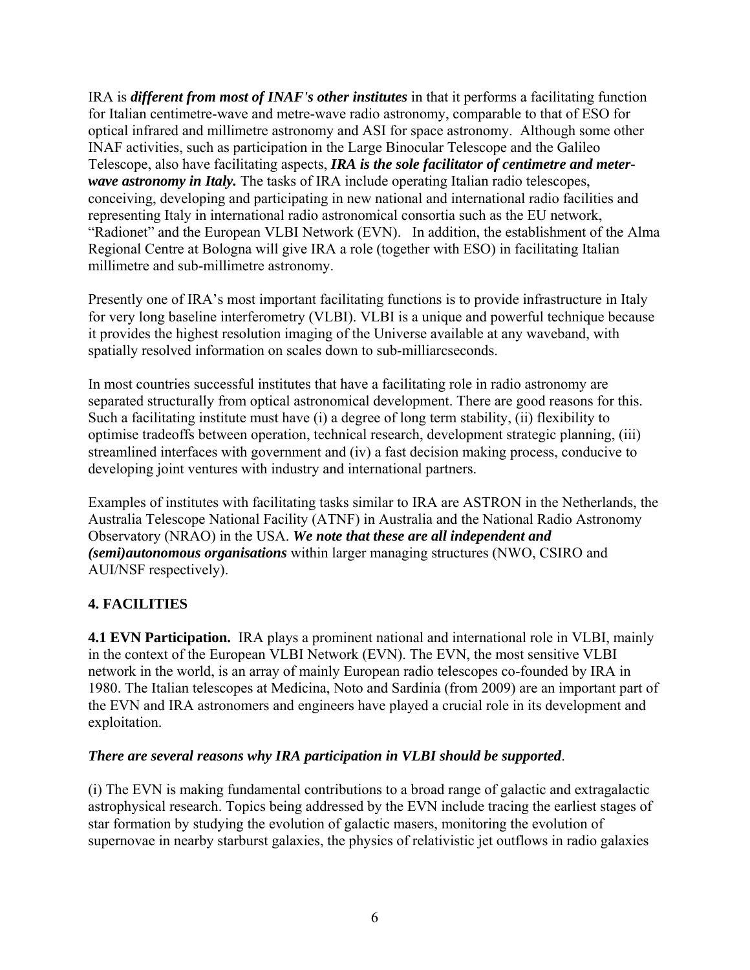IRA is *different from most of INAF's other institutes* in that it performs a facilitating function for Italian centimetre-wave and metre-wave radio astronomy, comparable to that of ESO for optical infrared and millimetre astronomy and ASI for space astronomy. Although some other INAF activities, such as participation in the Large Binocular Telescope and the Galileo Telescope, also have facilitating aspects, *IRA is the sole facilitator of centimetre and meterwave astronomy in Italy.* The tasks of IRA include operating Italian radio telescopes, conceiving, developing and participating in new national and international radio facilities and representing Italy in international radio astronomical consortia such as the EU network, "Radionet" and the European VLBI Network (EVN). In addition, the establishment of the Alma Regional Centre at Bologna will give IRA a role (together with ESO) in facilitating Italian millimetre and sub-millimetre astronomy.

Presently one of IRA's most important facilitating functions is to provide infrastructure in Italy for very long baseline interferometry (VLBI). VLBI is a unique and powerful technique because it provides the highest resolution imaging of the Universe available at any waveband, with spatially resolved information on scales down to sub-milliarcseconds.

In most countries successful institutes that have a facilitating role in radio astronomy are separated structurally from optical astronomical development. There are good reasons for this. Such a facilitating institute must have (i) a degree of long term stability, (ii) flexibility to optimise tradeoffs between operation, technical research, development strategic planning, (iii) streamlined interfaces with government and (iv) a fast decision making process, conducive to developing joint ventures with industry and international partners.

Examples of institutes with facilitating tasks similar to IRA are ASTRON in the Netherlands, the Australia Telescope National Facility (ATNF) in Australia and the National Radio Astronomy Observatory (NRAO) in the USA. *We note that these are all independent and (semi)autonomous organisations* within larger managing structures (NWO, CSIRO and AUI/NSF respectively).

# **4. FACILITIES**

**4.1 EVN Participation.** IRA plays a prominent national and international role in VLBI, mainly in the context of the European VLBI Network (EVN). The EVN, the most sensitive VLBI network in the world, is an array of mainly European radio telescopes co-founded by IRA in 1980. The Italian telescopes at Medicina, Noto and Sardinia (from 2009) are an important part of the EVN and IRA astronomers and engineers have played a crucial role in its development and exploitation.

### *There are several reasons why IRA participation in VLBI should be supported*.

(i) The EVN is making fundamental contributions to a broad range of galactic and extragalactic astrophysical research. Topics being addressed by the EVN include tracing the earliest stages of star formation by studying the evolution of galactic masers, monitoring the evolution of supernovae in nearby starburst galaxies, the physics of relativistic jet outflows in radio galaxies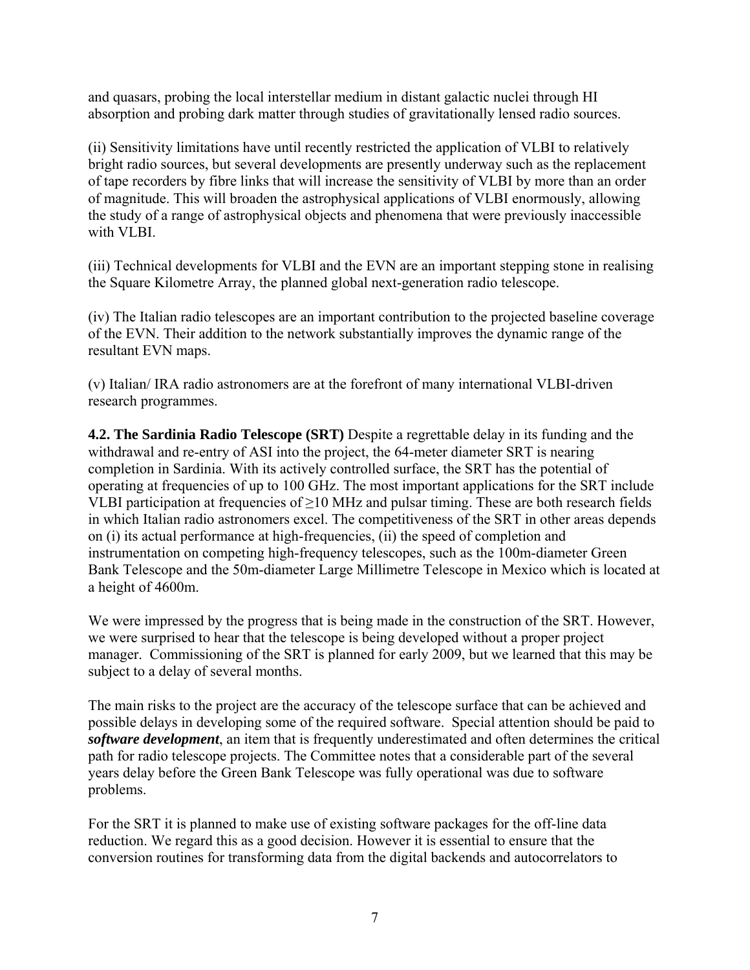and quasars, probing the local interstellar medium in distant galactic nuclei through HI absorption and probing dark matter through studies of gravitationally lensed radio sources.

(ii) Sensitivity limitations have until recently restricted the application of VLBI to relatively bright radio sources, but several developments are presently underway such as the replacement of tape recorders by fibre links that will increase the sensitivity of VLBI by more than an order of magnitude. This will broaden the astrophysical applications of VLBI enormously, allowing the study of a range of astrophysical objects and phenomena that were previously inaccessible with VLBI.

(iii) Technical developments for VLBI and the EVN are an important stepping stone in realising the Square Kilometre Array, the planned global next-generation radio telescope.

(iv) The Italian radio telescopes are an important contribution to the projected baseline coverage of the EVN. Their addition to the network substantially improves the dynamic range of the resultant EVN maps.

(v) Italian/ IRA radio astronomers are at the forefront of many international VLBI-driven research programmes.

**4.2. The Sardinia Radio Telescope (SRT)** Despite a regrettable delay in its funding and the withdrawal and re-entry of ASI into the project, the 64-meter diameter SRT is nearing completion in Sardinia. With its actively controlled surface, the SRT has the potential of operating at frequencies of up to 100 GHz. The most important applications for the SRT include VLBI participation at frequencies of  $\geq$ 10 MHz and pulsar timing. These are both research fields in which Italian radio astronomers excel. The competitiveness of the SRT in other areas depends on (i) its actual performance at high-frequencies, (ii) the speed of completion and instrumentation on competing high-frequency telescopes, such as the 100m-diameter Green Bank Telescope and the 50m-diameter Large Millimetre Telescope in Mexico which is located at a height of 4600m.

We were impressed by the progress that is being made in the construction of the SRT. However, we were surprised to hear that the telescope is being developed without a proper project manager. Commissioning of the SRT is planned for early 2009, but we learned that this may be subject to a delay of several months.

The main risks to the project are the accuracy of the telescope surface that can be achieved and possible delays in developing some of the required software. Special attention should be paid to *software development*, an item that is frequently underestimated and often determines the critical path for radio telescope projects. The Committee notes that a considerable part of the several years delay before the Green Bank Telescope was fully operational was due to software problems.

For the SRT it is planned to make use of existing software packages for the off-line data reduction. We regard this as a good decision. However it is essential to ensure that the conversion routines for transforming data from the digital backends and autocorrelators to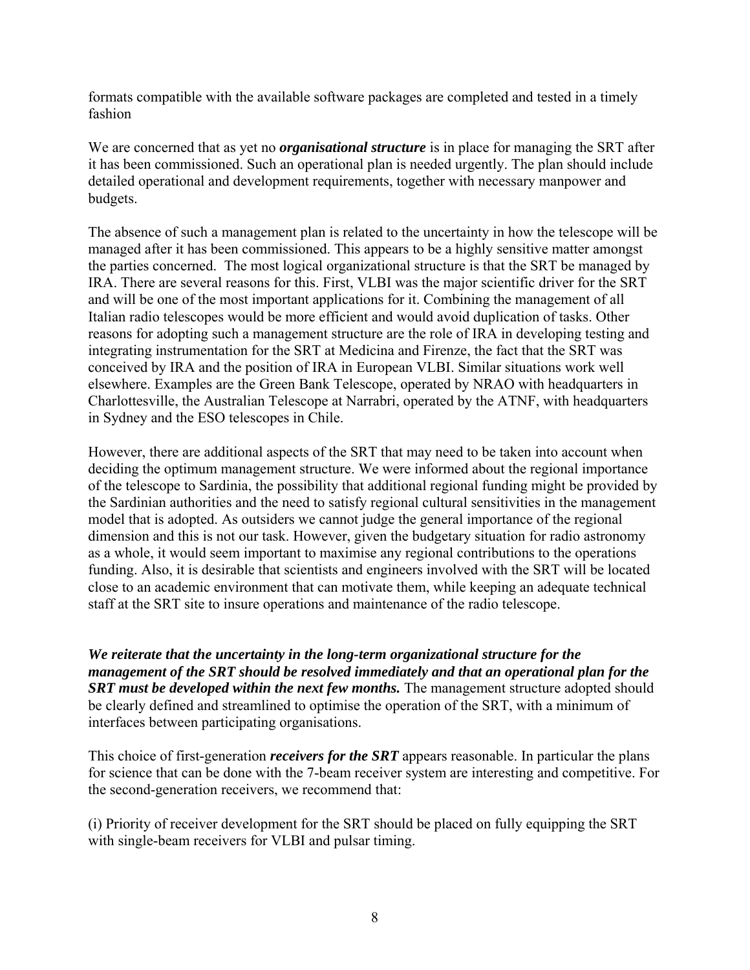formats compatible with the available software packages are completed and tested in a timely fashion

We are concerned that as yet no *organisational structure* is in place for managing the SRT after it has been commissioned. Such an operational plan is needed urgently. The plan should include detailed operational and development requirements, together with necessary manpower and budgets.

The absence of such a management plan is related to the uncertainty in how the telescope will be managed after it has been commissioned. This appears to be a highly sensitive matter amongst the parties concerned. The most logical organizational structure is that the SRT be managed by IRA. There are several reasons for this. First, VLBI was the major scientific driver for the SRT and will be one of the most important applications for it. Combining the management of all Italian radio telescopes would be more efficient and would avoid duplication of tasks. Other reasons for adopting such a management structure are the role of IRA in developing testing and integrating instrumentation for the SRT at Medicina and Firenze, the fact that the SRT was conceived by IRA and the position of IRA in European VLBI. Similar situations work well elsewhere. Examples are the Green Bank Telescope, operated by NRAO with headquarters in Charlottesville, the Australian Telescope at Narrabri, operated by the ATNF, with headquarters in Sydney and the ESO telescopes in Chile.

However, there are additional aspects of the SRT that may need to be taken into account when deciding the optimum management structure. We were informed about the regional importance of the telescope to Sardinia, the possibility that additional regional funding might be provided by the Sardinian authorities and the need to satisfy regional cultural sensitivities in the management model that is adopted. As outsiders we cannot judge the general importance of the regional dimension and this is not our task. However, given the budgetary situation for radio astronomy as a whole, it would seem important to maximise any regional contributions to the operations funding. Also, it is desirable that scientists and engineers involved with the SRT will be located close to an academic environment that can motivate them, while keeping an adequate technical staff at the SRT site to insure operations and maintenance of the radio telescope.

*We reiterate that the uncertainty in the long-term organizational structure for the management of the SRT should be resolved immediately and that an operational plan for the*  **SRT** must be developed within the next few months. The management structure adopted should be clearly defined and streamlined to optimise the operation of the SRT, with a minimum of interfaces between participating organisations.

This choice of first-generation *receivers for the SRT* appears reasonable. In particular the plans for science that can be done with the 7-beam receiver system are interesting and competitive. For the second-generation receivers, we recommend that:

(i) Priority of receiver development for the SRT should be placed on fully equipping the SRT with single-beam receivers for VLBI and pulsar timing.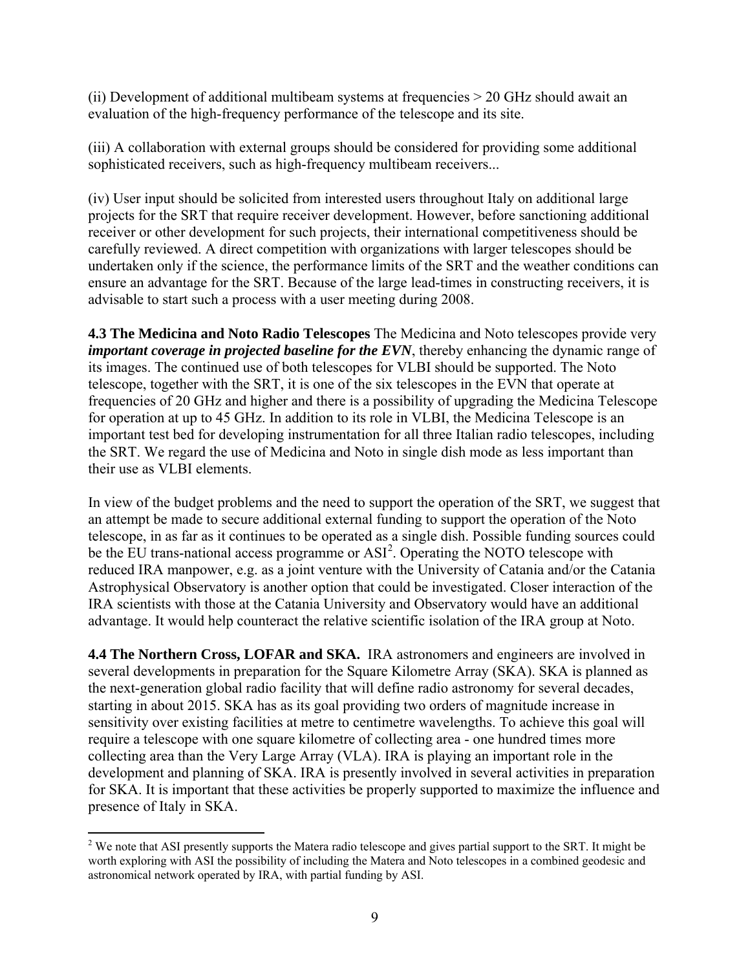(ii) Development of additional multibeam systems at frequencies > 20 GHz should await an evaluation of the high-frequency performance of the telescope and its site.

(iii) A collaboration with external groups should be considered for providing some additional sophisticated receivers, such as high-frequency multibeam receivers...

(iv) User input should be solicited from interested users throughout Italy on additional large projects for the SRT that require receiver development. However, before sanctioning additional receiver or other development for such projects, their international competitiveness should be carefully reviewed. A direct competition with organizations with larger telescopes should be undertaken only if the science, the performance limits of the SRT and the weather conditions can ensure an advantage for the SRT. Because of the large lead-times in constructing receivers, it is advisable to start such a process with a user meeting during 2008.

**4.3 The Medicina and Noto Radio Telescopes** The Medicina and Noto telescopes provide very *important coverage in projected baseline for the EVN*, thereby enhancing the dynamic range of its images. The continued use of both telescopes for VLBI should be supported. The Noto telescope, together with the SRT, it is one of the six telescopes in the EVN that operate at frequencies of 20 GHz and higher and there is a possibility of upgrading the Medicina Telescope for operation at up to 45 GHz. In addition to its role in VLBI, the Medicina Telescope is an important test bed for developing instrumentation for all three Italian radio telescopes, including the SRT. We regard the use of Medicina and Noto in single dish mode as less important than their use as VLBI elements.

In view of the budget problems and the need to support the operation of the SRT, we suggest that an attempt be made to secure additional external funding to support the operation of the Noto telescope, in as far as it continues to be operated as a single dish. Possible funding sources could be the EU trans-national access programme or  $ASI^2$  $ASI^2$ . Operating the NOTO telescope with reduced IRA manpower, e.g. as a joint venture with the University of Catania and/or the Catania Astrophysical Observatory is another option that could be investigated. Closer interaction of the IRA scientists with those at the Catania University and Observatory would have an additional advantage. It would help counteract the relative scientific isolation of the IRA group at Noto.

**4.4 The Northern Cross, LOFAR and SKA.** IRA astronomers and engineers are involved in several developments in preparation for the Square Kilometre Array (SKA). SKA is planned as the next-generation global radio facility that will define radio astronomy for several decades, starting in about 2015. SKA has as its goal providing two orders of magnitude increase in sensitivity over existing facilities at metre to centimetre wavelengths. To achieve this goal will require a telescope with one square kilometre of collecting area - one hundred times more collecting area than the Very Large Array (VLA). IRA is playing an important role in the development and planning of SKA. IRA is presently involved in several activities in preparation for SKA. It is important that these activities be properly supported to maximize the influence and presence of Italy in SKA.

<span id="page-8-0"></span><sup>&</sup>lt;sup>2</sup> We note that ASI presently supports the Matera radio telescope and gives partial support to the SRT. It might be worth exploring with ASI the possibility of including the Matera and Noto telescopes in a combined geodesic and astronomical network operated by IRA, with partial funding by ASI.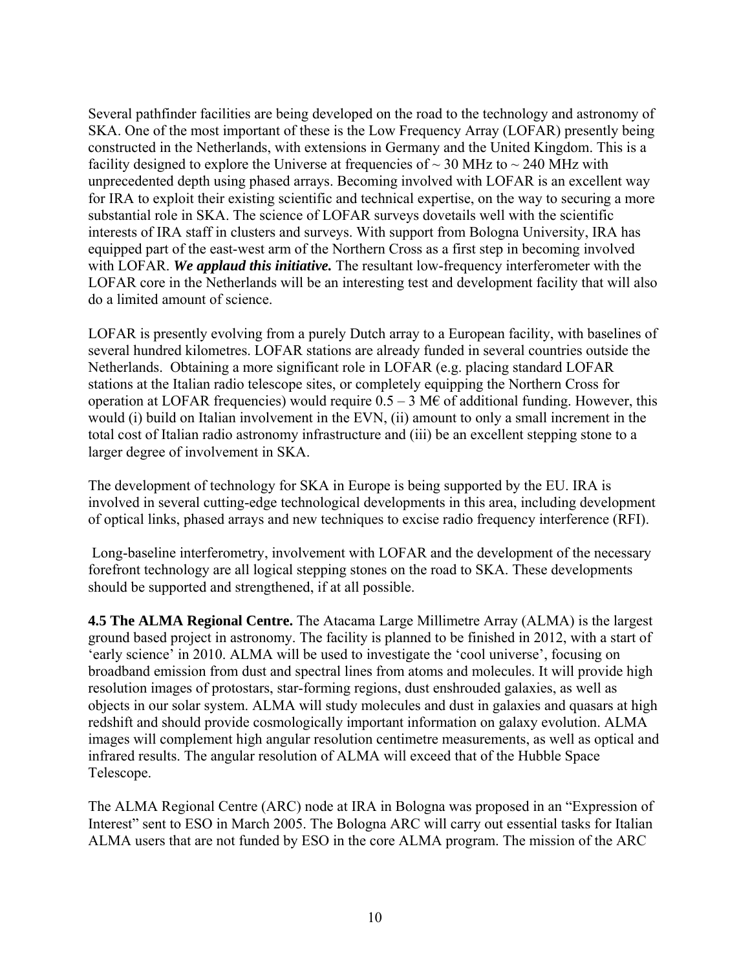Several pathfinder facilities are being developed on the road to the technology and astronomy of SKA. One of the most important of these is the Low Frequency Array (LOFAR) presently being constructed in the Netherlands, with extensions in Germany and the United Kingdom. This is a facility designed to explore the Universe at frequencies of  $\sim$  30 MHz to  $\sim$  240 MHz with unprecedented depth using phased arrays. Becoming involved with LOFAR is an excellent way for IRA to exploit their existing scientific and technical expertise, on the way to securing a more substantial role in SKA. The science of LOFAR surveys dovetails well with the scientific interests of IRA staff in clusters and surveys. With support from Bologna University, IRA has equipped part of the east-west arm of the Northern Cross as a first step in becoming involved with LOFAR. *We applaud this initiative.* The resultant low-frequency interferometer with the LOFAR core in the Netherlands will be an interesting test and development facility that will also do a limited amount of science.

LOFAR is presently evolving from a purely Dutch array to a European facility, with baselines of several hundred kilometres. LOFAR stations are already funded in several countries outside the Netherlands. Obtaining a more significant role in LOFAR (e.g. placing standard LOFAR stations at the Italian radio telescope sites, or completely equipping the Northern Cross for operation at LOFAR frequencies) would require  $0.5 - 3$  M $\epsilon$  of additional funding. However, this would (i) build on Italian involvement in the EVN, (ii) amount to only a small increment in the total cost of Italian radio astronomy infrastructure and (iii) be an excellent stepping stone to a larger degree of involvement in SKA.

The development of technology for SKA in Europe is being supported by the EU. IRA is involved in several cutting-edge technological developments in this area, including development of optical links, phased arrays and new techniques to excise radio frequency interference (RFI).

 Long-baseline interferometry, involvement with LOFAR and the development of the necessary forefront technology are all logical stepping stones on the road to SKA. These developments should be supported and strengthened, if at all possible.

**4.5 The ALMA Regional Centre.** The Atacama Large Millimetre Array (ALMA) is the largest ground based project in astronomy. The facility is planned to be finished in 2012, with a start of 'early science' in 2010. ALMA will be used to investigate the 'cool universe', focusing on broadband emission from dust and spectral lines from atoms and molecules. It will provide high resolution images of protostars, star-forming regions, dust enshrouded galaxies, as well as objects in our solar system. ALMA will study molecules and dust in galaxies and quasars at high redshift and should provide cosmologically important information on galaxy evolution. ALMA images will complement high angular resolution centimetre measurements, as well as optical and infrared results. The angular resolution of ALMA will exceed that of the Hubble Space Telescope.

The ALMA Regional Centre (ARC) node at IRA in Bologna was proposed in an "Expression of Interest" sent to ESO in March 2005. The Bologna ARC will carry out essential tasks for Italian ALMA users that are not funded by ESO in the core ALMA program. The mission of the ARC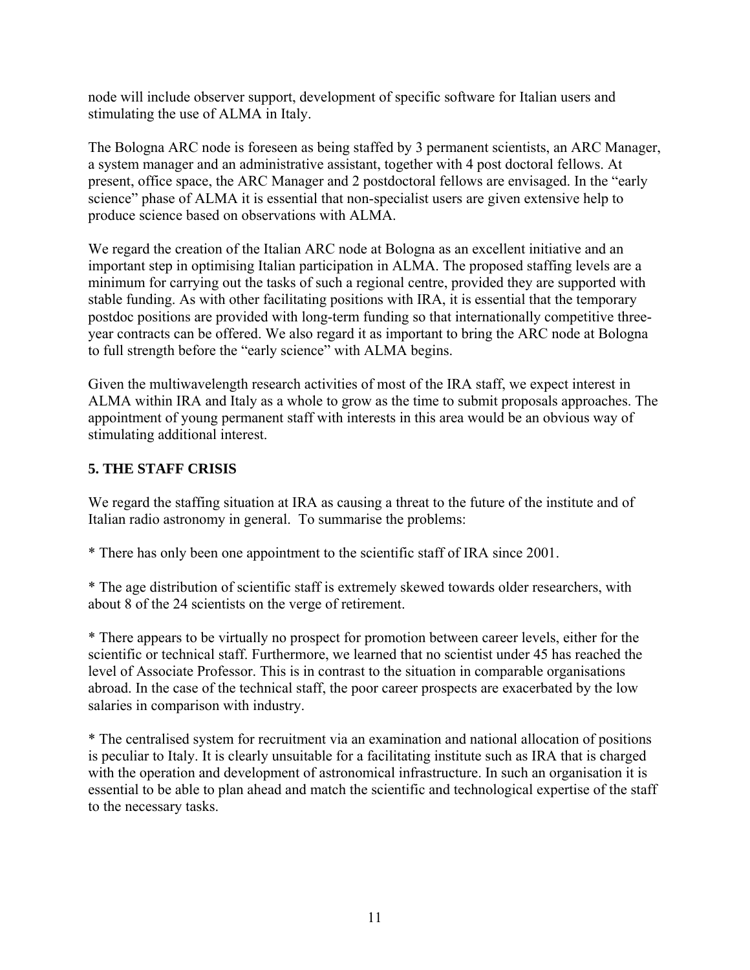node will include observer support, development of specific software for Italian users and stimulating the use of ALMA in Italy.

The Bologna ARC node is foreseen as being staffed by 3 permanent scientists, an ARC Manager, a system manager and an administrative assistant, together with 4 post doctoral fellows. At present, office space, the ARC Manager and 2 postdoctoral fellows are envisaged. In the "early science" phase of ALMA it is essential that non-specialist users are given extensive help to produce science based on observations with ALMA.

We regard the creation of the Italian ARC node at Bologna as an excellent initiative and an important step in optimising Italian participation in ALMA. The proposed staffing levels are a minimum for carrying out the tasks of such a regional centre, provided they are supported with stable funding. As with other facilitating positions with IRA, it is essential that the temporary postdoc positions are provided with long-term funding so that internationally competitive threeyear contracts can be offered. We also regard it as important to bring the ARC node at Bologna to full strength before the "early science" with ALMA begins.

Given the multiwavelength research activities of most of the IRA staff, we expect interest in ALMA within IRA and Italy as a whole to grow as the time to submit proposals approaches. The appointment of young permanent staff with interests in this area would be an obvious way of stimulating additional interest.

## **5. THE STAFF CRISIS**

We regard the staffing situation at IRA as causing a threat to the future of the institute and of Italian radio astronomy in general. To summarise the problems:

\* There has only been one appointment to the scientific staff of IRA since 2001.

\* The age distribution of scientific staff is extremely skewed towards older researchers, with about 8 of the 24 scientists on the verge of retirement.

\* There appears to be virtually no prospect for promotion between career levels, either for the scientific or technical staff. Furthermore, we learned that no scientist under 45 has reached the level of Associate Professor. This is in contrast to the situation in comparable organisations abroad. In the case of the technical staff, the poor career prospects are exacerbated by the low salaries in comparison with industry.

\* The centralised system for recruitment via an examination and national allocation of positions is peculiar to Italy. It is clearly unsuitable for a facilitating institute such as IRA that is charged with the operation and development of astronomical infrastructure. In such an organisation it is essential to be able to plan ahead and match the scientific and technological expertise of the staff to the necessary tasks.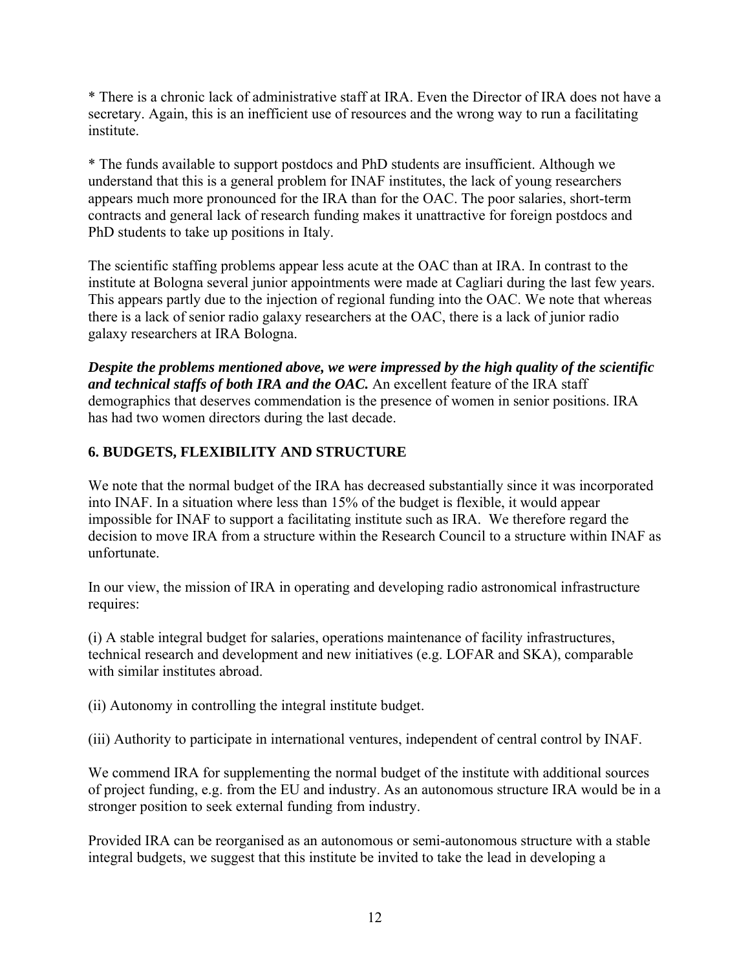\* There is a chronic lack of administrative staff at IRA. Even the Director of IRA does not have a secretary. Again, this is an inefficient use of resources and the wrong way to run a facilitating institute.

\* The funds available to support postdocs and PhD students are insufficient. Although we understand that this is a general problem for INAF institutes, the lack of young researchers appears much more pronounced for the IRA than for the OAC. The poor salaries, short-term contracts and general lack of research funding makes it unattractive for foreign postdocs and PhD students to take up positions in Italy.

The scientific staffing problems appear less acute at the OAC than at IRA. In contrast to the institute at Bologna several junior appointments were made at Cagliari during the last few years. This appears partly due to the injection of regional funding into the OAC. We note that whereas there is a lack of senior radio galaxy researchers at the OAC, there is a lack of junior radio galaxy researchers at IRA Bologna.

*Despite the problems mentioned above, we were impressed by the high quality of the scientific and technical staffs of both IRA and the OAC.* An excellent feature of the IRA staff demographics that deserves commendation is the presence of women in senior positions. IRA has had two women directors during the last decade.

# **6. BUDGETS, FLEXIBILITY AND STRUCTURE**

We note that the normal budget of the IRA has decreased substantially since it was incorporated into INAF. In a situation where less than 15% of the budget is flexible, it would appear impossible for INAF to support a facilitating institute such as IRA. We therefore regard the decision to move IRA from a structure within the Research Council to a structure within INAF as unfortunate.

In our view, the mission of IRA in operating and developing radio astronomical infrastructure requires:

(i) A stable integral budget for salaries, operations maintenance of facility infrastructures, technical research and development and new initiatives (e.g. LOFAR and SKA), comparable with similar institutes abroad.

(ii) Autonomy in controlling the integral institute budget.

(iii) Authority to participate in international ventures, independent of central control by INAF.

We commend IRA for supplementing the normal budget of the institute with additional sources of project funding, e.g. from the EU and industry. As an autonomous structure IRA would be in a stronger position to seek external funding from industry.

Provided IRA can be reorganised as an autonomous or semi-autonomous structure with a stable integral budgets, we suggest that this institute be invited to take the lead in developing a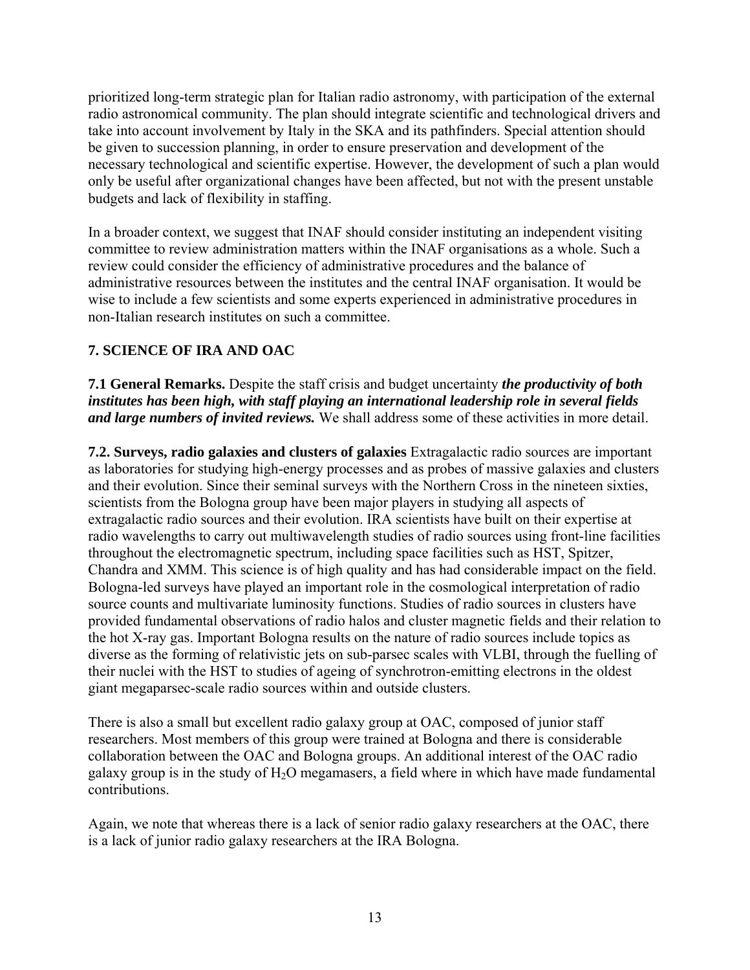prioritized long-term strategic plan for Italian radio astronomy, with participation of the external radio astronomical community. The plan should integrate scientific and technological drivers and take into account involvement by Italy in the SKA and its pathfinders. Special attention should be given to succession planning, in order to ensure preservation and development of the necessary technological and scientific expertise. However, the development of such a plan would only be useful after organizational changes have been affected, but not with the present unstable budgets and lack of flexibility in staffing.

In a broader context, we suggest that INAF should consider instituting an independent visiting committee to review administration matters within the INAF organisations as a whole. Such a review could consider the efficiency of administrative procedures and the balance of administrative resources between the institutes and the central INAF organisation. It would be wise to include a few scientists and some experts experienced in administrative procedures in non-Italian research institutes on such a committee.

# **7. SCIENCE OF IRA AND OAC**

**7.1 General Remarks.** Despite the staff crisis and budget uncertainty *the productivity of both institutes has been high, with staff playing an international leadership role in several fields and large numbers of invited reviews.* We shall address some of these activities in more detail.

**7.2. Surveys, radio galaxies and clusters of galaxies** Extragalactic radio sources are important as laboratories for studying high-energy processes and as probes of massive galaxies and clusters and their evolution. Since their seminal surveys with the Northern Cross in the nineteen sixties, scientists from the Bologna group have been major players in studying all aspects of extragalactic radio sources and their evolution. IRA scientists have built on their expertise at radio wavelengths to carry out multiwavelength studies of radio sources using front-line facilities throughout the electromagnetic spectrum, including space facilities such as HST, Spitzer, Chandra and XMM. This science is of high quality and has had considerable impact on the field. Bologna-led surveys have played an important role in the cosmological interpretation of radio source counts and multivariate luminosity functions. Studies of radio sources in clusters have provided fundamental observations of radio halos and cluster magnetic fields and their relation to the hot X-ray gas. Important Bologna results on the nature of radio sources include topics as diverse as the forming of relativistic jets on sub-parsec scales with VLBI, through the fuelling of their nuclei with the HST to studies of ageing of synchrotron-emitting electrons in the oldest giant megaparsec-scale radio sources within and outside clusters.

There is also a small but excellent radio galaxy group at OAC, composed of junior staff researchers. Most members of this group were trained at Bologna and there is considerable collaboration between the OAC and Bologna groups. An additional interest of the OAC radio galaxy group is in the study of  $H_2O$  megamasers, a field where in which have made fundamental contributions.

Again, we note that whereas there is a lack of senior radio galaxy researchers at the OAC, there is a lack of junior radio galaxy researchers at the IRA Bologna.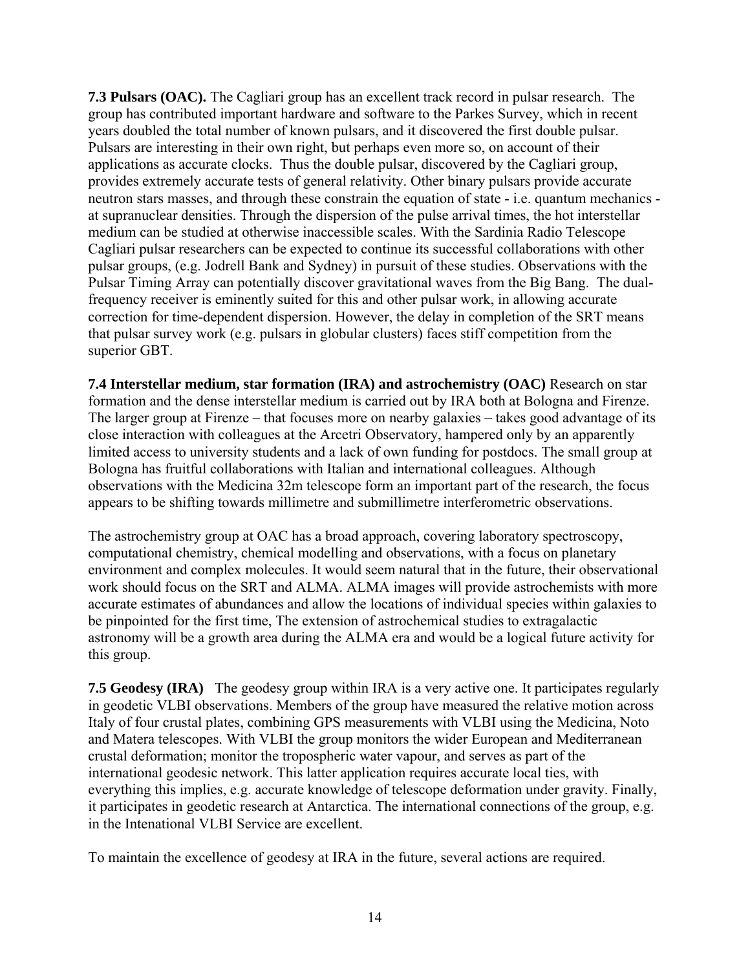**7.3 Pulsars (OAC).** The Cagliari group has an excellent track record in pulsar research. The group has contributed important hardware and software to the Parkes Survey, which in recent years doubled the total number of known pulsars, and it discovered the first double pulsar. Pulsars are interesting in their own right, but perhaps even more so, on account of their applications as accurate clocks. Thus the double pulsar, discovered by the Cagliari group, provides extremely accurate tests of general relativity. Other binary pulsars provide accurate neutron stars masses, and through these constrain the equation of state - i.e. quantum mechanics at supranuclear densities. Through the dispersion of the pulse arrival times, the hot interstellar medium can be studied at otherwise inaccessible scales. With the Sardinia Radio Telescope Cagliari pulsar researchers can be expected to continue its successful collaborations with other pulsar groups, (e.g. Jodrell Bank and Sydney) in pursuit of these studies. Observations with the Pulsar Timing Array can potentially discover gravitational waves from the Big Bang. The dualfrequency receiver is eminently suited for this and other pulsar work, in allowing accurate correction for time-dependent dispersion. However, the delay in completion of the SRT means that pulsar survey work (e.g. pulsars in globular clusters) faces stiff competition from the superior GBT.

**7.4 Interstellar medium, star formation (IRA) and astrochemistry (OAC)** Research on star formation and the dense interstellar medium is carried out by IRA both at Bologna and Firenze. The larger group at Firenze – that focuses more on nearby galaxies – takes good advantage of its close interaction with colleagues at the Arcetri Observatory, hampered only by an apparently limited access to university students and a lack of own funding for postdocs. The small group at Bologna has fruitful collaborations with Italian and international colleagues. Although observations with the Medicina 32m telescope form an important part of the research, the focus appears to be shifting towards millimetre and submillimetre interferometric observations.

The astrochemistry group at OAC has a broad approach, covering laboratory spectroscopy, computational chemistry, chemical modelling and observations, with a focus on planetary environment and complex molecules. It would seem natural that in the future, their observational work should focus on the SRT and ALMA. ALMA images will provide astrochemists with more accurate estimates of abundances and allow the locations of individual species within galaxies to be pinpointed for the first time, The extension of astrochemical studies to extragalactic astronomy will be a growth area during the ALMA era and would be a logical future activity for this group.

**7.5 Geodesy (IRA)** The geodesy group within IRA is a very active one. It participates regularly in geodetic VLBI observations. Members of the group have measured the relative motion across Italy of four crustal plates, combining GPS measurements with VLBI using the Medicina, Noto and Matera telescopes. With VLBI the group monitors the wider European and Mediterranean crustal deformation; monitor the tropospheric water vapour, and serves as part of the international geodesic network. This latter application requires accurate local ties, with everything this implies, e.g. accurate knowledge of telescope deformation under gravity. Finally, it participates in geodetic research at Antarctica. The international connections of the group, e.g. in the Intenational VLBI Service are excellent.

To maintain the excellence of geodesy at IRA in the future, several actions are required.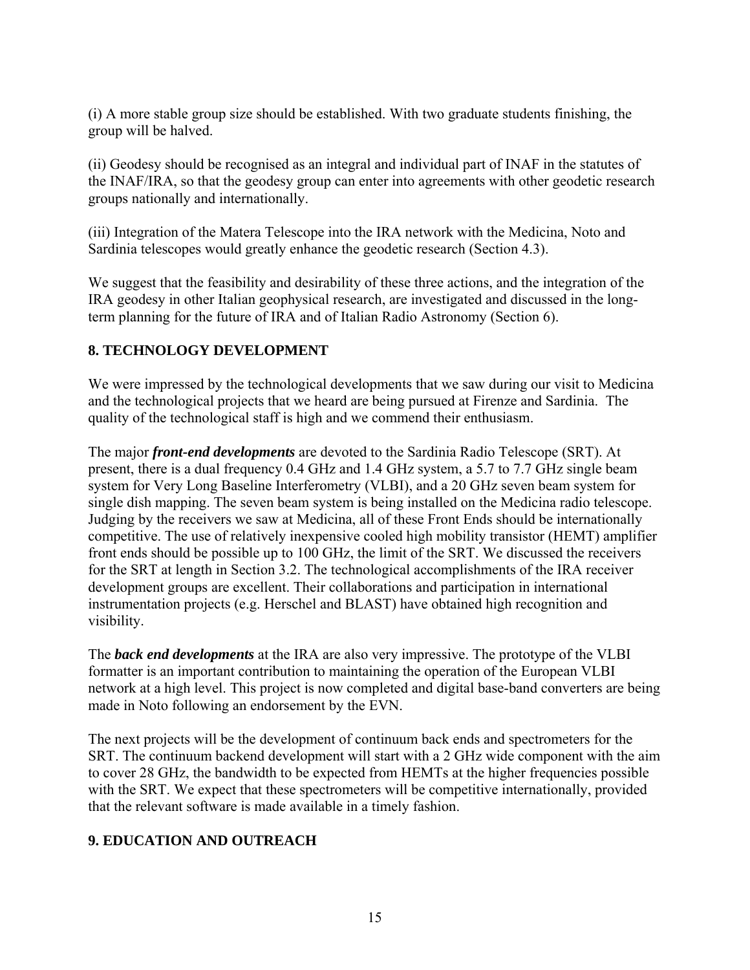(i) A more stable group size should be established. With two graduate students finishing, the group will be halved.

(ii) Geodesy should be recognised as an integral and individual part of INAF in the statutes of the INAF/IRA, so that the geodesy group can enter into agreements with other geodetic research groups nationally and internationally.

(iii) Integration of the Matera Telescope into the IRA network with the Medicina, Noto and Sardinia telescopes would greatly enhance the geodetic research (Section 4.3).

We suggest that the feasibility and desirability of these three actions, and the integration of the IRA geodesy in other Italian geophysical research, are investigated and discussed in the longterm planning for the future of IRA and of Italian Radio Astronomy (Section 6).

## **8. TECHNOLOGY DEVELOPMENT**

We were impressed by the technological developments that we saw during our visit to Medicina and the technological projects that we heard are being pursued at Firenze and Sardinia. The quality of the technological staff is high and we commend their enthusiasm.

The major *front-end developments* are devoted to the Sardinia Radio Telescope (SRT). At present, there is a dual frequency 0.4 GHz and 1.4 GHz system, a 5.7 to 7.7 GHz single beam system for Very Long Baseline Interferometry (VLBI), and a 20 GHz seven beam system for single dish mapping. The seven beam system is being installed on the Medicina radio telescope. Judging by the receivers we saw at Medicina, all of these Front Ends should be internationally competitive. The use of relatively inexpensive cooled high mobility transistor (HEMT) amplifier front ends should be possible up to 100 GHz, the limit of the SRT. We discussed the receivers for the SRT at length in Section 3.2. The technological accomplishments of the IRA receiver development groups are excellent. Their collaborations and participation in international instrumentation projects (e.g. Herschel and BLAST) have obtained high recognition and visibility.

The *back end developments* at the IRA are also very impressive. The prototype of the VLBI formatter is an important contribution to maintaining the operation of the European VLBI network at a high level. This project is now completed and digital base-band converters are being made in Noto following an endorsement by the EVN.

The next projects will be the development of continuum back ends and spectrometers for the SRT. The continuum backend development will start with a 2 GHz wide component with the aim to cover 28 GHz, the bandwidth to be expected from HEMTs at the higher frequencies possible with the SRT. We expect that these spectrometers will be competitive internationally, provided that the relevant software is made available in a timely fashion.

# **9. EDUCATION AND OUTREACH**